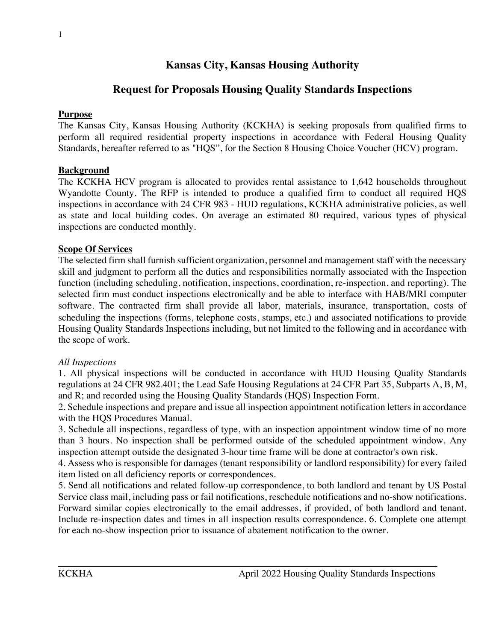# **Kansas City, Kansas Housing Authority**

## **Request for Proposals Housing Quality Standards Inspections**

#### **Purpose**

The Kansas City, Kansas Housing Authority (KCKHA) is seeking proposals from qualified firms to perform all required residential property inspections in accordance with Federal Housing Quality Standards, hereafter referred to as "HQS", for the Section 8 Housing Choice Voucher (HCV) program.

#### **Background**

The KCKHA HCV program is allocated to provides rental assistance to 1,642 households throughout Wyandotte County. The RFP is intended to produce a qualified firm to conduct all required HQS inspections in accordance with 24 CFR 983 - HUD regulations, KCKHA administrative policies, as well as state and local building codes. On average an estimated 80 required, various types of physical inspections are conducted monthly.

#### **Scope Of Services**

The selected firm shall furnish sufficient organization, personnel and management staff with the necessary skill and judgment to perform all the duties and responsibilities normally associated with the Inspection function (including scheduling, notification, inspections, coordination, re-inspection, and reporting). The selected firm must conduct inspections electronically and be able to interface with HAB/MRI computer software. The contracted firm shall provide all labor, materials, insurance, transportation, costs of scheduling the inspections (forms, telephone costs, stamps, etc.) and associated notifications to provide Housing Quality Standards Inspections including, but not limited to the following and in accordance with the scope of work.

#### *All Inspections*

1. All physical inspections will be conducted in accordance with HUD Housing Quality Standards regulations at 24 CFR 982.401; the Lead Safe Housing Regulations at 24 CFR Part 35, Subparts A, B, M, and R; and recorded using the Housing Quality Standards (HQS) Inspection Form.

2. Schedule inspections and prepare and issue all inspection appointment notification letters in accordance with the HQS Procedures Manual.

3. Schedule all inspections, regardless of type, with an inspection appointment window time of no more than 3 hours. No inspection shall be performed outside of the scheduled appointment window. Any inspection attempt outside the designated 3-hour time frame will be done at contractor's own risk.

4. Assess who is responsible for damages (tenant responsibility or landlord responsibility) for every failed item listed on all deficiency reports or correspondences.

5. Send all notifications and related follow-up correspondence, to both landlord and tenant by US Postal Service class mail, including pass or fail notifications, reschedule notifications and no-show notifications. Forward similar copies electronically to the email addresses, if provided, of both landlord and tenant. Include re-inspection dates and times in all inspection results correspondence. 6. Complete one attempt for each no-show inspection prior to issuance of abatement notification to the owner.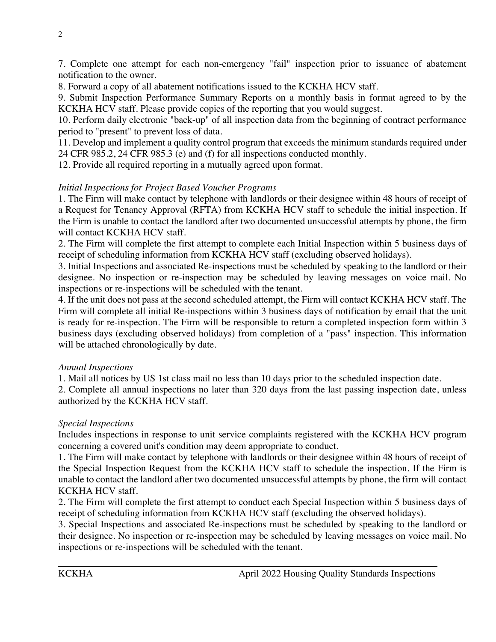7. Complete one attempt for each non-emergency "fail" inspection prior to issuance of abatement notification to the owner.

8. Forward a copy of all abatement notifications issued to the KCKHA HCV staff.

9. Submit Inspection Performance Summary Reports on a monthly basis in format agreed to by the KCKHA HCV staff. Please provide copies of the reporting that you would suggest.

10. Perform daily electronic "back-up" of all inspection data from the beginning of contract performance period to "present" to prevent loss of data.

11. Develop and implement a quality control program that exceeds the minimum standards required under 24 CFR 985.2, 24 CFR 985.3 (e) and (f) for all inspections conducted monthly.

12. Provide all required reporting in a mutually agreed upon format.

### *Initial Inspections for Project Based Voucher Programs*

1. The Firm will make contact by telephone with landlords or their designee within 48 hours of receipt of a Request for Tenancy Approval (RFTA) from KCKHA HCV staff to schedule the initial inspection. If the Firm is unable to contact the landlord after two documented unsuccessful attempts by phone, the firm will contact KCKHA HCV staff.

2. The Firm will complete the first attempt to complete each Initial Inspection within 5 business days of receipt of scheduling information from KCKHA HCV staff (excluding observed holidays).

3. Initial Inspections and associated Re-inspections must be scheduled by speaking to the landlord or their designee. No inspection or re-inspection may be scheduled by leaving messages on voice mail. No inspections or re-inspections will be scheduled with the tenant.

4. If the unit does not pass at the second scheduled attempt, the Firm will contact KCKHA HCV staff. The Firm will complete all initial Re-inspections within 3 business days of notification by email that the unit is ready for re-inspection. The Firm will be responsible to return a completed inspection form within 3 business days (excluding observed holidays) from completion of a "pass" inspection. This information will be attached chronologically by date.

### *Annual Inspections*

1. Mail all notices by US 1st class mail no less than 10 days prior to the scheduled inspection date.

2. Complete all annual inspections no later than 320 days from the last passing inspection date, unless authorized by the KCKHA HCV staff.

### *Special Inspections*

Includes inspections in response to unit service complaints registered with the KCKHA HCV program concerning a covered unit's condition may deem appropriate to conduct.

1. The Firm will make contact by telephone with landlords or their designee within 48 hours of receipt of the Special Inspection Request from the KCKHA HCV staff to schedule the inspection. If the Firm is unable to contact the landlord after two documented unsuccessful attempts by phone, the firm will contact KCKHA HCV staff.

2. The Firm will complete the first attempt to conduct each Special Inspection within 5 business days of receipt of scheduling information from KCKHA HCV staff (excluding the observed holidays).

3. Special Inspections and associated Re-inspections must be scheduled by speaking to the landlord or their designee. No inspection or re-inspection may be scheduled by leaving messages on voice mail. No inspections or re-inspections will be scheduled with the tenant.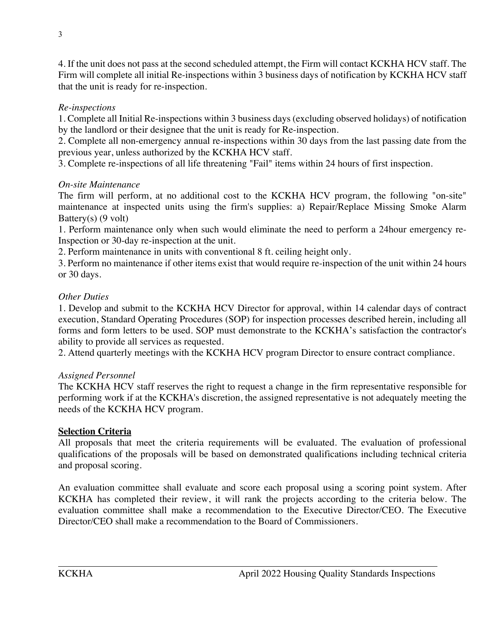4. If the unit does not pass at the second scheduled attempt, the Firm will contact KCKHA HCV staff. The Firm will complete all initial Re-inspections within 3 business days of notification by KCKHA HCV staff that the unit is ready for re-inspection.

### *Re-inspections*

1. Complete all Initial Re-inspections within 3 business days (excluding observed holidays) of notification by the landlord or their designee that the unit is ready for Re-inspection.

2. Complete all non-emergency annual re-inspections within 30 days from the last passing date from the previous year, unless authorized by the KCKHA HCV staff.

3. Complete re-inspections of all life threatening "Fail" items within 24 hours of first inspection.

### *On-site Maintenance*

The firm will perform, at no additional cost to the KCKHA HCV program, the following "on-site" maintenance at inspected units using the firm's supplies: a) Repair/Replace Missing Smoke Alarm Battery(s)  $(9 \text{ volt})$ 

1. Perform maintenance only when such would eliminate the need to perform a 24hour emergency re-Inspection or 30-day re-inspection at the unit.

2. Perform maintenance in units with conventional 8 ft. ceiling height only.

3. Perform no maintenance if other items exist that would require re-inspection of the unit within 24 hours or 30 days.

### *Other Duties*

1. Develop and submit to the KCKHA HCV Director for approval, within 14 calendar days of contract execution, Standard Operating Procedures (SOP) for inspection processes described herein, including all forms and form letters to be used. SOP must demonstrate to the KCKHA's satisfaction the contractor's ability to provide all services as requested.

2. Attend quarterly meetings with the KCKHA HCV program Director to ensure contract compliance.

## *Assigned Personnel*

The KCKHA HCV staff reserves the right to request a change in the firm representative responsible for performing work if at the KCKHA's discretion, the assigned representative is not adequately meeting the needs of the KCKHA HCV program.

## **Selection Criteria**

All proposals that meet the criteria requirements will be evaluated. The evaluation of professional qualifications of the proposals will be based on demonstrated qualifications including technical criteria and proposal scoring.

An evaluation committee shall evaluate and score each proposal using a scoring point system. After KCKHA has completed their review, it will rank the projects according to the criteria below. The evaluation committee shall make a recommendation to the Executive Director/CEO. The Executive Director/CEO shall make a recommendation to the Board of Commissioners.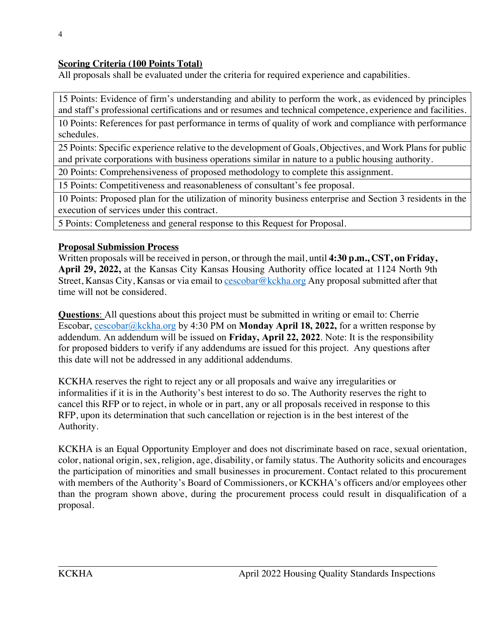### **Scoring Criteria (100 Points Total)**

All proposals shall be evaluated under the criteria for required experience and capabilities.

15 Points: Evidence of firm's understanding and ability to perform the work, as evidenced by principles and staff's professional certifications and or resumes and technical competence, experience and facilities.

10 Points: References for past performance in terms of quality of work and compliance with performance schedules.

25 Points: Specific experience relative to the development of Goals, Objectives, and Work Plans for public and private corporations with business operations similar in nature to a public housing authority.

20 Points: Comprehensiveness of proposed methodology to complete this assignment.

15 Points: Competitiveness and reasonableness of consultant's fee proposal.

10 Points: Proposed plan for the utilization of minority business enterprise and Section 3 residents in the execution of services under this contract.

5 Points: Completeness and general response to this Request for Proposal.

### **Proposal Submission Process**

Written proposals will be received in person, or through the mail, until **4:30 p.m., CST, on Friday, April 29, 2022,** at the Kansas City Kansas Housing Authority office located at 1124 North 9th Street, Kansas City, Kansas or via email to cescobar@kckha.org Any proposal submitted after that time will not be considered.

**Questions**: All questions about this project must be submitted in writing or email to: Cherrie Escobar, cescobar@kckha.org by 4:30 PM on **Monday April 18, 2022,** for a written response by addendum. An addendum will be issued on **Friday, April 22, 2022**. Note: It is the responsibility for proposed bidders to verify if any addendums are issued for this project. Any questions after this date will not be addressed in any additional addendums.

KCKHA reserves the right to reject any or all proposals and waive any irregularities or informalities if it is in the Authority's best interest to do so. The Authority reserves the right to cancel this RFP or to reject, in whole or in part, any or all proposals received in response to this RFP, upon its determination that such cancellation or rejection is in the best interest of the Authority.

KCKHA is an Equal Opportunity Employer and does not discriminate based on race, sexual orientation, color, national origin, sex, religion, age, disability, or family status. The Authority solicits and encourages the participation of minorities and small businesses in procurement. Contact related to this procurement with members of the Authority's Board of Commissioners, or KCKHA's officers and/or employees other than the program shown above, during the procurement process could result in disqualification of a proposal.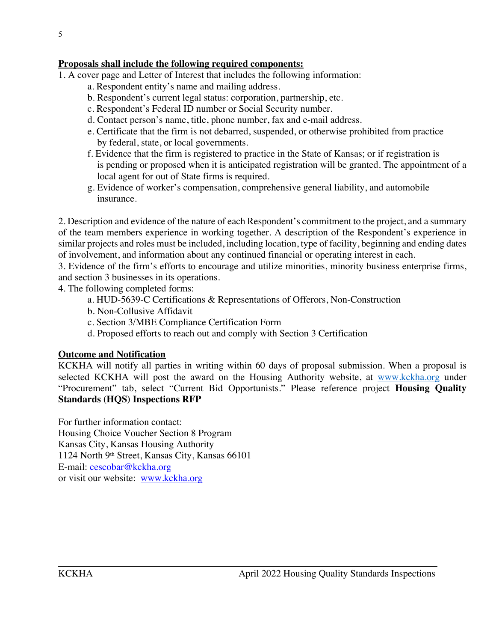### **Proposals shall include the following required components:**

- 1. A cover page and Letter of Interest that includes the following information:
	- a. Respondent entity's name and mailing address.
	- b. Respondent's current legal status: corporation, partnership, etc.
	- c. Respondent's Federal ID number or Social Security number.
	- d. Contact person's name, title, phone number, fax and e-mail address.
	- e. Certificate that the firm is not debarred, suspended, or otherwise prohibited from practice by federal, state, or local governments.
	- f. Evidence that the firm is registered to practice in the State of Kansas; or if registration is is pending or proposed when it is anticipated registration will be granted. The appointment of a local agent for out of State firms is required.
	- g. Evidence of worker's compensation, comprehensive general liability, and automobile insurance.

2. Description and evidence of the nature of each Respondent's commitment to the project, and a summary of the team members experience in working together. A description of the Respondent's experience in similar projects and roles must be included, including location, type of facility, beginning and ending dates of involvement, and information about any continued financial or operating interest in each.

3. Evidence of the firm's efforts to encourage and utilize minorities, minority business enterprise firms, and section 3 businesses in its operations.

4. The following completed forms:

- a. HUD-5639-C Certifications & Representations of Offerors, Non-Construction
- b. Non-Collusive Affidavit
- c. Section 3/MBE Compliance Certification Form
- d. Proposed efforts to reach out and comply with Section 3 Certification

### **Outcome and Notification**

KCKHA will notify all parties in writing within 60 days of proposal submission. When a proposal is selected KCKHA will post the award on the Housing Authority website, at www.kckha.org under "Procurement" tab, select "Current Bid Opportunists." Please reference project **Housing Quality Standards (HQS) Inspections RFP**

For further information contact: Housing Choice Voucher Section 8 Program Kansas City, Kansas Housing Authority 1124 North 9th Street, Kansas City, Kansas 66101 E-mail: cescobar@kckha.org or visit our website: www.kckha.org